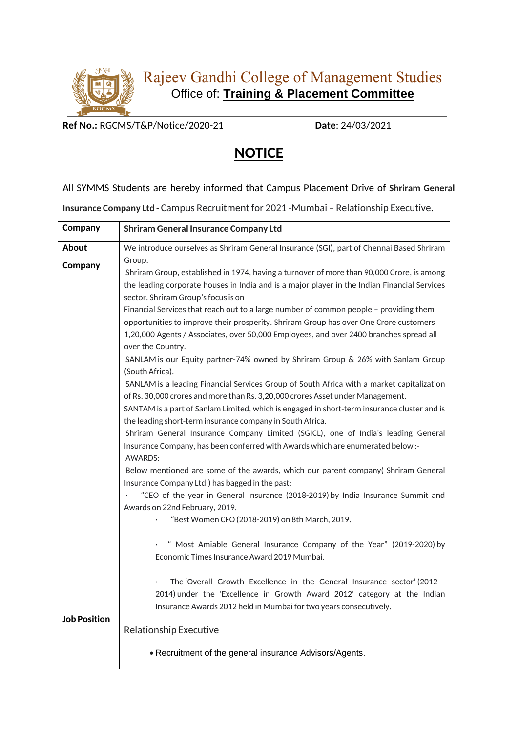

**Ref No.:** RGCMS/T&P/Notice/2020-21 **Date**: 24/03/2021

## **NOTICE**

## All SYMMS Students are hereby informed that Campus Placement Drive of **Shriram General**

**Insurance Company Ltd -** Campus Recruitment for 2021 -Mumbai – Relationship Executive.

| Company             | <b>Shriram General Insurance Company Ltd</b>                                                                                                                                |
|---------------------|-----------------------------------------------------------------------------------------------------------------------------------------------------------------------------|
| About               | We introduce ourselves as Shriram General Insurance (SGI), part of Chennai Based Shriram                                                                                    |
| Company             | Group.                                                                                                                                                                      |
|                     | Shriram Group, established in 1974, having a turnover of more than 90,000 Crore, is among                                                                                   |
|                     | the leading corporate houses in India and is a major player in the Indian Financial Services                                                                                |
|                     | sector. Shriram Group's focus is on                                                                                                                                         |
|                     | Financial Services that reach out to a large number of common people - providing them                                                                                       |
|                     | opportunities to improve their prosperity. Shriram Group has over One Crore customers                                                                                       |
|                     | 1,20,000 Agents / Associates, over 50,000 Employees, and over 2400 branches spread all<br>over the Country.                                                                 |
|                     | SANLAM is our Equity partner-74% owned by Shriram Group & 26% with Sanlam Group                                                                                             |
|                     | (South Africa).                                                                                                                                                             |
|                     | SANLAM is a leading Financial Services Group of South Africa with a market capitalization<br>of Rs. 30,000 crores and more than Rs. 3,20,000 crores Asset under Management. |
|                     | SANTAM is a part of Sanlam Limited, which is engaged in short-term insurance cluster and is                                                                                 |
|                     | the leading short-term insurance company in South Africa.                                                                                                                   |
|                     | Shriram General Insurance Company Limited (SGICL), one of India's leading General                                                                                           |
|                     | Insurance Company, has been conferred with Awards which are enumerated below :-                                                                                             |
|                     | <b>AWARDS:</b>                                                                                                                                                              |
|                     | Below mentioned are some of the awards, which our parent company( Shriram General                                                                                           |
|                     | Insurance Company Ltd.) has bagged in the past:                                                                                                                             |
|                     | "CEO of the year in General Insurance (2018-2019) by India Insurance Summit and<br>Awards on 22nd February, 2019.                                                           |
|                     | "Best Women CFO (2018-2019) on 8th March, 2019.                                                                                                                             |
|                     | " Most Amiable General Insurance Company of the Year" (2019-2020) by                                                                                                        |
|                     | Economic Times Insurance Award 2019 Mumbai.                                                                                                                                 |
|                     |                                                                                                                                                                             |
|                     | The 'Overall Growth Excellence in the General Insurance sector' (2012 -                                                                                                     |
|                     | 2014) under the 'Excellence in Growth Award 2012' category at the Indian                                                                                                    |
|                     | Insurance Awards 2012 held in Mumbai for two years consecutively.                                                                                                           |
| <b>Job Position</b> |                                                                                                                                                                             |
|                     | <b>Relationship Executive</b>                                                                                                                                               |
|                     | • Recruitment of the general insurance Advisors/Agents.                                                                                                                     |
|                     |                                                                                                                                                                             |